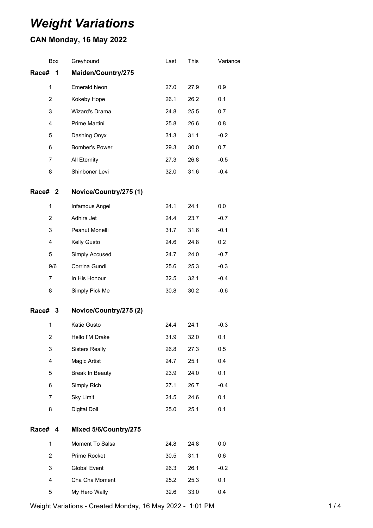# *Weight Variations*

## **CAN Monday, 16 May 2022**

|                | Box | Greyhound              | Last | This | Variance |
|----------------|-----|------------------------|------|------|----------|
| Race#          | 1   | Maiden/Country/275     |      |      |          |
| $\mathbf{1}$   |     | <b>Emerald Neon</b>    | 27.0 | 27.9 | 0.9      |
| $\overline{2}$ |     | Kokeby Hope            | 26.1 | 26.2 | 0.1      |
| 3              |     | Wizard's Drama         | 24.8 | 25.5 | 0.7      |
| $\overline{4}$ |     | Prime Martini          | 25.8 | 26.6 | 0.8      |
| 5              |     | Dashing Onyx           | 31.3 | 31.1 | $-0.2$   |
| 6              |     | Bomber's Power         | 29.3 | 30.0 | 0.7      |
| 7              |     | All Eternity           | 27.3 | 26.8 | $-0.5$   |
| 8              |     | Shinboner Levi         | 32.0 | 31.6 | $-0.4$   |
| Race# 2        |     | Novice/Country/275 (1) |      |      |          |
| 1              |     | Infamous Angel         | 24.1 | 24.1 | 0.0      |
| $\overline{2}$ |     | Adhira Jet             | 24.4 | 23.7 | $-0.7$   |
| 3              |     | Peanut Monelli         | 31.7 | 31.6 | $-0.1$   |
| $\overline{4}$ |     | Kelly Gusto            | 24.6 | 24.8 | 0.2      |
| 5              |     | Simply Accused         | 24.7 | 24.0 | $-0.7$   |
|                | 9/6 | Corrina Gundi          | 25.6 | 25.3 | $-0.3$   |
| $\overline{7}$ |     | In His Honour          | 32.5 | 32.1 | $-0.4$   |
| 8              |     | Simply Pick Me         | 30.8 | 30.2 | $-0.6$   |
| Race# 3        |     | Novice/Country/275 (2) |      |      |          |
| 1              |     | Katie Gusto            | 24.4 | 24.1 | $-0.3$   |
| $\overline{c}$ |     | Hello I'M Drake        | 31.9 | 32.0 | 0.1      |
| 3              |     | <b>Sisters Really</b>  | 26.8 | 27.3 | 0.5      |
| 4<br>5         |     | Magic Artist           | 24.7 | 25.1 | 0.4      |
|                |     | Break In Beauty        | 23.9 | 24.0 | 0.1      |
| 6              |     | Simply Rich            | 27.1 | 26.7 | $-0.4$   |
| 7              |     | <b>Sky Limit</b>       | 24.5 | 24.6 | 0.1      |
| 8              |     | Digital Doll           | 25.0 | 25.1 | 0.1      |
| Race#          | 4   | Mixed 5/6/Country/275  |      |      |          |
| $\mathbf{1}$   |     | Moment To Salsa        | 24.8 | 24.8 | 0.0      |
| $\overline{2}$ |     | Prime Rocket           | 30.5 | 31.1 | 0.6      |
| 3              |     | Global Event           | 26.3 | 26.1 | $-0.2$   |
| 4              |     | Cha Cha Moment         | 25.2 | 25.3 | 0.1      |
| 5              |     | My Hero Wally          | 32.6 | 33.0 | 0.4      |

Weight Variations - Created Monday, 16 May 2022 - 1:01 PM 1 14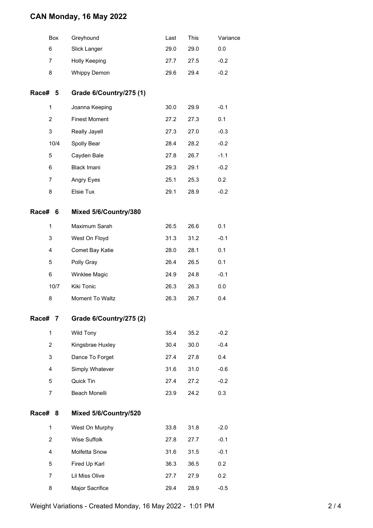#### **CAN Monday, 16 May 2022**

| Box            | Greyhound               | Last | <b>This</b> | Variance |
|----------------|-------------------------|------|-------------|----------|
| 6              | Slick Langer            | 29.0 | 29.0        | 0.0      |
| 7              | Holly Keeping           | 27.7 | 27.5        | $-0.2$   |
| 8              | <b>Whippy Demon</b>     | 29.6 | 29.4        | $-0.2$   |
| Race# 5        | Grade 6/Country/275 (1) |      |             |          |
| 1              | Joanna Keeping          | 30.0 | 29.9        | $-0.1$   |
| $\overline{2}$ | <b>Finest Moment</b>    | 27.2 | 27.3        | 0.1      |
| 3              | Really Jayell           | 27.3 | 27.0        | $-0.3$   |
| 10/4           | Spolly Bear             | 28.4 | 28.2        | $-0.2$   |
| 5              | Cayden Bale             | 27.8 | 26.7        | $-1.1$   |
| 6              | Black Imani             | 29.3 | 29.1        | $-0.2$   |
| $\overline{7}$ | Angry Eyes              | 25.1 | 25.3        | 0.2      |
| 8              | Elsie Tux               | 29.1 | 28.9        | $-0.2$   |
| Race#<br>6     | Mixed 5/6/Country/380   |      |             |          |
| 1              | Maximum Sarah           | 26.5 | 26.6        | 0.1      |
| 3              | West On Floyd           | 31.3 | 31.2        | $-0.1$   |
| 4              | Comet Bay Katie         | 28.0 | 28.1        | 0.1      |
| 5              | Polly Gray              | 26.4 | 26.5        | 0.1      |
| 6              | Winklee Magic           | 24.9 | 24.8        | $-0.1$   |
| 10/7           | Kiki Tonic              | 26.3 | 26.3        | 0.0      |
| 8              | Moment To Waltz         | 26.3 | 26.7        | 0.4      |
| Race#<br>7     | Grade 6/Country/275 (2) |      |             |          |
| 1              | Wild Tony               | 35.4 | 35.2        | $-0.2$   |
| $\overline{2}$ | Kingsbrae Huxley        | 30.4 | 30.0        | $-0.4$   |
| 3              | Dance To Forget         | 27.4 | 27.8        | 0.4      |
| 4              | Simply Whatever         | 31.6 | 31.0        | $-0.6$   |
| 5              | Quick Tin               | 27.4 | 27.2        | $-0.2$   |
| $\overline{7}$ | Beach Monelli           | 23.9 | 24.2        | 0.3      |
| Race#<br>8     | Mixed 5/6/Country/520   |      |             |          |
| 1              | West On Murphy          | 33.8 | 31.8        | $-2.0$   |
| $\overline{2}$ | Wise Suffolk            | 27.8 | 27.7        | $-0.1$   |
| 4              | Molfetta Snow           | 31.6 | 31.5        | $-0.1$   |
| 5              | Fired Up Karl           | 36.3 | 36.5        | 0.2      |
| $\overline{7}$ | Lil Miss Olive          | 27.7 | 27.9        | 0.2      |
| 8              | Major Sacrifice         | 29.4 | 28.9        | $-0.5$   |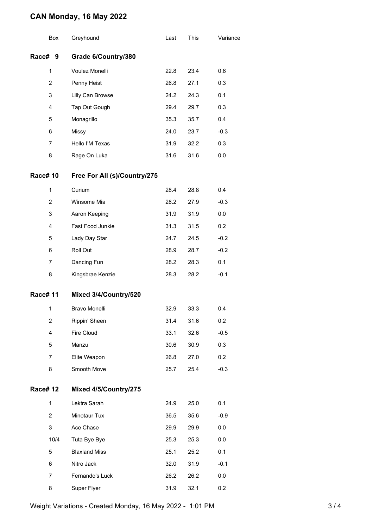### **CAN Monday, 16 May 2022**

| Box             |                | Greyhound                    | Last | This | Variance |
|-----------------|----------------|------------------------------|------|------|----------|
| Race# 9         |                | Grade 6/Country/380          |      |      |          |
|                 | 1              | Voulez Monelli               | 22.8 | 23.4 | 0.6      |
|                 | $\overline{2}$ | Penny Heist                  | 26.8 | 27.1 | 0.3      |
| 3               |                | Lilly Can Browse             | 24.2 | 24.3 | 0.1      |
|                 | 4              | Tap Out Gough                | 29.4 | 29.7 | 0.3      |
| 5               |                | Monagrillo                   | 35.3 | 35.7 | 0.4      |
| 6               |                | <b>Missy</b>                 | 24.0 | 23.7 | $-0.3$   |
| 7<br>8          |                | Hello I'M Texas              | 31.9 | 32.2 | 0.3      |
|                 |                | Rage On Luka                 | 31.6 | 31.6 | 0.0      |
| <b>Race# 10</b> |                | Free For All (s)/Country/275 |      |      |          |
|                 | 1              | Curium                       | 28.4 | 28.8 | 0.4      |
|                 | 2              | Winsome Mia                  | 28.2 | 27.9 | $-0.3$   |
|                 | 3              | Aaron Keeping                | 31.9 | 31.9 | 0.0      |
|                 | $\overline{4}$ | Fast Food Junkie             | 31.3 | 31.5 | 0.2      |
|                 | 5              | Lady Day Star                | 24.7 | 24.5 | $-0.2$   |
|                 | 6              | Roll Out                     | 28.9 | 28.7 | $-0.2$   |
|                 | 7              | Dancing Fun                  | 28.2 | 28.3 | 0.1      |
|                 | 8              | Kingsbrae Kenzie             | 28.3 | 28.2 | $-0.1$   |
| <b>Race#11</b>  |                | Mixed 3/4/Country/520        |      |      |          |
|                 | 1              | <b>Bravo Monelli</b>         | 32.9 | 33.3 | 0.4      |
|                 | 2              | Rippin' Sheen                | 31.4 | 31.6 | 0.2      |
|                 | 4              | Fire Cloud                   | 33.1 | 32.6 | $-0.5$   |
|                 | 5              | Manzu                        | 30.6 | 30.9 | 0.3      |
|                 | 7              | Elite Weapon                 | 26.8 | 27.0 | 0.2      |
|                 | 8              | Smooth Move                  | 25.7 | 25.4 | $-0.3$   |
| <b>Race# 12</b> |                | Mixed 4/5/Country/275        |      |      |          |
|                 | 1              | Lektra Sarah                 | 24.9 | 25.0 | 0.1      |
|                 | 2              | Minotaur Tux                 | 36.5 | 35.6 | $-0.9$   |
|                 | 3              | Ace Chase                    | 29.9 | 29.9 | 0.0      |
|                 | 10/4           | Tuta Bye Bye                 | 25.3 | 25.3 | 0.0      |
|                 | 5              | <b>Blaxland Miss</b>         | 25.1 | 25.2 | 0.1      |
|                 | 6              | Nitro Jack                   | 32.0 | 31.9 | $-0.1$   |
|                 | 7              | Fernando's Luck              | 26.2 | 26.2 | 0.0      |
|                 | 8              | Super Flyer                  | 31.9 | 32.1 | 0.2      |